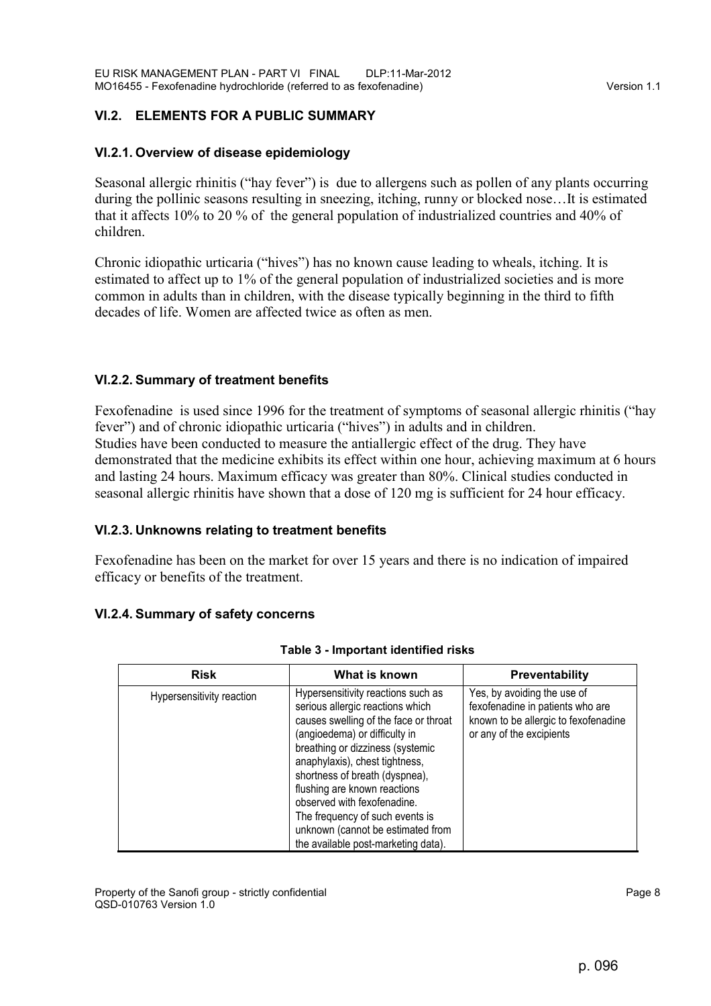# **VI.2. ELEMENTS FOR A PUBLIC SUMMARY**

## **VI.2.1. Overview of disease epidemiology**

Seasonal allergic rhinitis ("hay fever") is due to allergens such as pollen of any plants occurring during the pollinic seasons resulting in sneezing, itching, runny or blocked nose…It is estimated that it affects 10% to 20 % of the general population of industrialized countries and 40% of children.

Chronic idiopathic urticaria ("hives") has no known cause leading to wheals, itching. It is estimated to affect up to 1% of the general population of industrialized societies and is more common in adults than in children, with the disease typically beginning in the third to fifth decades of life. Women are affected twice as often as men.

## **VI.2.2. Summary of treatment benefits**

Fexofenadine is used since 1996 for the treatment of symptoms of seasonal allergic rhinitis ("hay fever") and of chronic idiopathic urticaria ("hives") in adults and in children. Studies have been conducted to measure the antiallergic effect of the drug. They have demonstrated that the medicine exhibits its effect within one hour, achieving maximum at 6 hours and lasting 24 hours. Maximum efficacy was greater than 80%. Clinical studies conducted in seasonal allergic rhinitis have shown that a dose of 120 mg is sufficient for 24 hour efficacy.

### **VI.2.3. Unknowns relating to treatment benefits**

Fexofenadine has been on the market for over 15 years and there is no indication of impaired efficacy or benefits of the treatment.

# **VI.2.4. Summary of safety concerns**

| <b>Risk</b>               | What is known                                                                                                                                                                                                                                                                                                                                                                                                                          | <b>Preventability</b>                                                                                                               |
|---------------------------|----------------------------------------------------------------------------------------------------------------------------------------------------------------------------------------------------------------------------------------------------------------------------------------------------------------------------------------------------------------------------------------------------------------------------------------|-------------------------------------------------------------------------------------------------------------------------------------|
| Hypersensitivity reaction | Hypersensitivity reactions such as<br>serious allergic reactions which<br>causes swelling of the face or throat<br>(angioedema) or difficulty in<br>breathing or dizziness (systemic<br>anaphylaxis), chest tightness,<br>shortness of breath (dyspnea),<br>flushing are known reactions<br>observed with fexofenadine.<br>The frequency of such events is<br>unknown (cannot be estimated from<br>the available post-marketing data). | Yes, by avoiding the use of<br>fexofenadine in patients who are<br>known to be allergic to fexofenadine<br>or any of the excipients |

| Table 3 - Important identified risks |  |
|--------------------------------------|--|
|--------------------------------------|--|